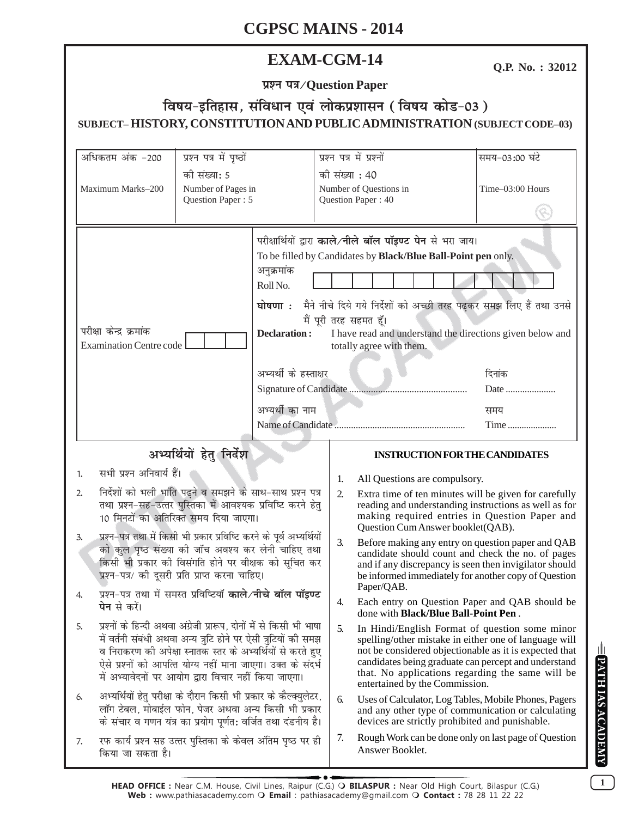# **EXAM-CGM-14**

Q.P. No.: 32012

प्रश्न पत्र/Question Paper

# विषय-इतिहास, संविधान एवं लोकप्रशासन (विषय कोड-03) SUBJECT-HISTORY, CONSTITUTION AND PUBLIC ADMINISTRATION (SUBJECT CODE-03)

| अधिकतम अंक -200                                                                                                                                                                                                                                                                                                                                                                                                                                                                                                                                                                                                                                                                                                                                                                                                                                          | प्रश्न पत्र में पृष्ठों<br>की संख्या: 5<br>Number of Pages in<br>Question Paper: 5 |                                                                                                             |                | प्रश्न पत्र में प्रश्नों<br>समय-03:00 घंटे                                                                                                                                                                                                                                                                                                               |  |  |  |  |
|----------------------------------------------------------------------------------------------------------------------------------------------------------------------------------------------------------------------------------------------------------------------------------------------------------------------------------------------------------------------------------------------------------------------------------------------------------------------------------------------------------------------------------------------------------------------------------------------------------------------------------------------------------------------------------------------------------------------------------------------------------------------------------------------------------------------------------------------------------|------------------------------------------------------------------------------------|-------------------------------------------------------------------------------------------------------------|----------------|----------------------------------------------------------------------------------------------------------------------------------------------------------------------------------------------------------------------------------------------------------------------------------------------------------------------------------------------------------|--|--|--|--|
| Maximum Marks-200                                                                                                                                                                                                                                                                                                                                                                                                                                                                                                                                                                                                                                                                                                                                                                                                                                        |                                                                                    |                                                                                                             | की संख्या : 40 | Number of Questions in<br>Time-03:00 Hours<br>Question Paper: 40                                                                                                                                                                                                                                                                                         |  |  |  |  |
| परीक्षा केन्द्र क्रमांक<br><b>Examination Centre code</b>                                                                                                                                                                                                                                                                                                                                                                                                                                                                                                                                                                                                                                                                                                                                                                                                |                                                                                    | अनुक्रमांक<br>Roll No.<br>घोषणा <b>ः</b><br><b>Declaration:</b><br>अभ्यर्थी के हस्ताक्षर<br>अभ्यर्थी का नाम |                | परीक्षार्थियों द्वारा काले/नीले बॉल पॉइण्ट पेन से भरा जाय।<br>To be filled by Candidates by Black/Blue Ball-Point pen only.<br>मैने नीचे दिये गये निर्देशों को अच्छी तरह पढ़कर समझ लिए हैं तथा उनसे<br>मैं पूरी तरह सहमत हूँ।<br>I have read and understand the directions given below and<br>totally agree with them.<br>दिनांक<br>Date $\ldots$<br>समय |  |  |  |  |
|                                                                                                                                                                                                                                                                                                                                                                                                                                                                                                                                                                                                                                                                                                                                                                                                                                                          |                                                                                    | Time                                                                                                        |                |                                                                                                                                                                                                                                                                                                                                                          |  |  |  |  |
|                                                                                                                                                                                                                                                                                                                                                                                                                                                                                                                                                                                                                                                                                                                                                                                                                                                          | अभ्यर्थियों हेतु निर्देश                                                           |                                                                                                             |                | <b>INSTRUCTION FOR THE CANDIDATES</b>                                                                                                                                                                                                                                                                                                                    |  |  |  |  |
| सभी प्रश्न अनिवार्य हैं।<br>1.                                                                                                                                                                                                                                                                                                                                                                                                                                                                                                                                                                                                                                                                                                                                                                                                                           |                                                                                    |                                                                                                             | 1.             | All Questions are compulsory.                                                                                                                                                                                                                                                                                                                            |  |  |  |  |
| निर्देशों को भली भांति पढ़ने व समझने के साथ-साथ प्रश्न पत्र<br>2.<br>तथा प्रश्न-सह-उत्तर पुस्तिका में आवश्यक प्रविष्टि करने हेतु<br>10 मिनटों का अतिरिक्त समय दिया जाएगा।<br>प्रश्न-पत्र तथा में किसी भी प्रकार प्रविष्टि करने के पूर्व अभ्यर्थियों<br>3.<br>को कुल पृष्ठ संख्या की जॉच अवश्य कर लेनी चाहिए तथा<br>किसी भी प्रकार की विसंगति होने पर वीक्षक को सूचित कर<br>प्रश्न-पत्र/ की दूसरी प्रति प्राप्त करना चाहिए।<br>प्रश्न-पत्र तथा में समस्त प्रविष्टियाँ काले/नीचे बॉल पॉइण्ट<br><b>पेन</b> से करें।<br>प्रश्नों के हिन्दी अथवा अंग्रेजी प्रारूप, दोनों में से किसी भी भाषा<br>5.<br>में वर्तनी संबंधी अथवा अन्य त्रुटि होने पर ऐसी त्रुटियों की समझ<br>व निराकरण की अपेक्षा स्नातक स्तर के अभ्यर्थियों से करते हुए<br>ऐसे प्रश्नों को आपत्ति योग्य नहीं माना जाएगा। उक्त के संदर्भ<br>में अभ्यावेदनों पर आयोग द्वारा विचार नहीं किया जाएगा। |                                                                                    |                                                                                                             | 2.             | Extra time of ten minutes will be given for carefully<br>reading and understanding instructions as well as for<br>making required entries in Question Paper and<br>Question Cum Answer booklet(QAB).                                                                                                                                                     |  |  |  |  |
|                                                                                                                                                                                                                                                                                                                                                                                                                                                                                                                                                                                                                                                                                                                                                                                                                                                          |                                                                                    |                                                                                                             | 3.             | Before making any entry on question paper and QAB<br>candidate should count and check the no. of pages<br>and if any discrepancy is seen then invigilator should<br>be informed immediately for another copy of Question<br>Paper/QAB.                                                                                                                   |  |  |  |  |
|                                                                                                                                                                                                                                                                                                                                                                                                                                                                                                                                                                                                                                                                                                                                                                                                                                                          |                                                                                    |                                                                                                             | 4.             | Each entry on Question Paper and QAB should be<br>done with <b>Black/Blue Ball-Point Pen</b> .                                                                                                                                                                                                                                                           |  |  |  |  |
|                                                                                                                                                                                                                                                                                                                                                                                                                                                                                                                                                                                                                                                                                                                                                                                                                                                          |                                                                                    |                                                                                                             | 5.             | In Hindi/English Format of question some minor<br>spelling/other mistake in either one of language will<br>not be considered objectionable as it is expected that<br>candidates being graduate can percept and understand<br>that. No applications regarding the same will be<br>entertained by the Commission.                                          |  |  |  |  |
| अभ्यर्थियों हेतु परीक्षा के दौरान किसी भी प्रकार के कैल्क्युलेटर,<br>6.<br>लॉग टेबल, मोबाईल फोन, पेजर अथवा अन्य किसी भी प्रकार<br>के संचार व गणन यंत्र का प्रयोग पूर्णत: वर्जित तथा दंडनीय है।                                                                                                                                                                                                                                                                                                                                                                                                                                                                                                                                                                                                                                                           |                                                                                    |                                                                                                             | 6.             | Uses of Calculator, Log Tables, Mobile Phones, Pagers<br>and any other type of communication or calculating<br>devices are strictly prohibited and punishable.                                                                                                                                                                                           |  |  |  |  |
| रफ कार्य प्रश्न सह उत्तर पुस्तिका के केवल अंतिम पृष्ठ पर ही<br>7.<br>किया जा सकता है।                                                                                                                                                                                                                                                                                                                                                                                                                                                                                                                                                                                                                                                                                                                                                                    |                                                                                    |                                                                                                             | 7.             | Rough Work can be done only on last page of Question<br>Answer Booklet.                                                                                                                                                                                                                                                                                  |  |  |  |  |

**PATHIAS ACADEMY**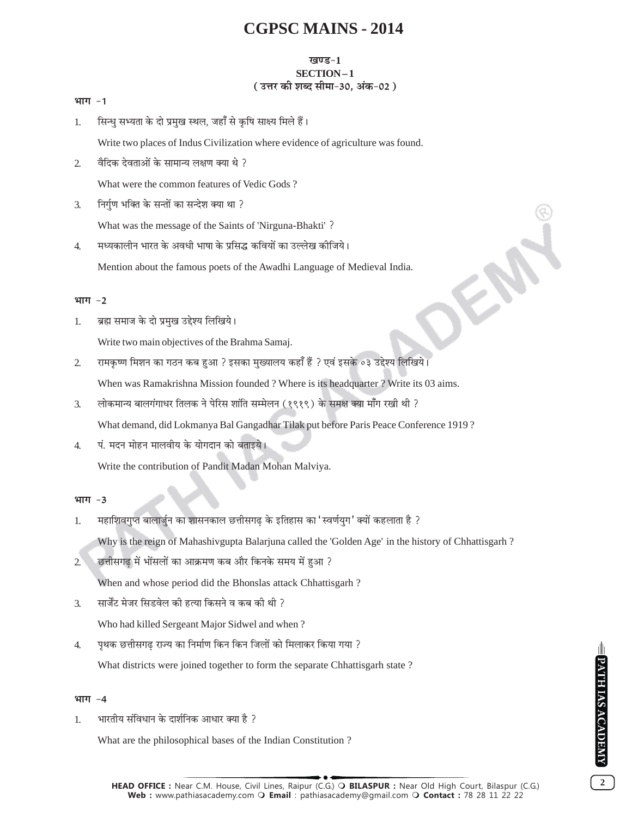### खण्ड-1 SECTION-1 (उत्तर की शब्द सीमा-30, अंक-02)

#### भाग -1

सिन्ध सभ्यता के दो प्रमुख स्थल, जहाँ से कृषि साक्ष्य मिले हैं।  $\mathbf{1}$ 

Write two places of Indus Civilization where evidence of agriculture was found.

वैदिक देवताओं के सामान्य लक्षण क्या थे ?  $\overline{2}$ 

What were the common features of Vedic Gods?

निर्गुण भक्ति के सन्तों का सन्देश क्या था ?  $\overline{3}$ .

What was the message of the Saints of 'Nirguna-Bhakti'?

मध्यकालीन भारत के अवधी भाषा के प्रसिद्ध कवियों का उल्लेख कीजिये।  $\overline{4}$ . Mention about the famous poets of the Awadhi Language of Medieval India.

#### भाग $-2$

ब्रह्म समाज के दो प्रमुख उद्देश्य लिखिये। 1.

Write two main objectives of the Brahma Samaj.

 $\overline{2}$ रामकृष्ण मिशन का गठन कब हुआ ? इसका मुख्यालय कहाँ हैं ? एवं इसके ०३ उद्देश्य लिखिये।

When was Ramakrishna Mission founded? Where is its headquarter? Write its 03 aims.

लोकमान्य बालगंगाधर तिलक ने पेरिस शांति सम्मेलन (१९१९) के समक्ष क्या माँग रखी थी ?  $\overline{3}$ .

What demand, did Lokmanya Bal Gangadhar Tilak put before Paris Peace Conference 1919?

पं. मदन मोहन मालवीय के योगदान को बताइये।  $\overline{4}$ 

Write the contribution of Pandit Madan Mohan Malviya.

#### भाग -3

- महाशिवगुप्त बालार्जुन का शासनकाल छत्तीसगढ के इतिहास का 'स्वर्णयुग' क्यों कहलाता है ?  $1.$ Why is the reign of Mahashivgupta Balarjuna called the 'Golden Age' in the history of Chhattisgarh?
- छत्तीसगढ में भोंसलों का आक्रमण कब और किनके समय में हुआ ?  $2^{^{\circ}}$ When and whose period did the Bhonslas attack Chhattisgarh?
- सार्जेंट मेजर सिडवेल की हत्या किसने व कब की थी ?  $\overline{3}$ . Who had killed Sergeant Major Sidwel and when?
- पृथक छत्तीसगढ राज्य का निर्माण किन किन जिलों को मिलाकर किया गया ?  $\overline{4}$ . What districts were joined together to form the separate Chhattisgarh state?

#### भाग -4

 $1.$ भारतीय संविधान के दार्शनिक आधार क्या है ?

What are the philosophical bases of the Indian Constitution?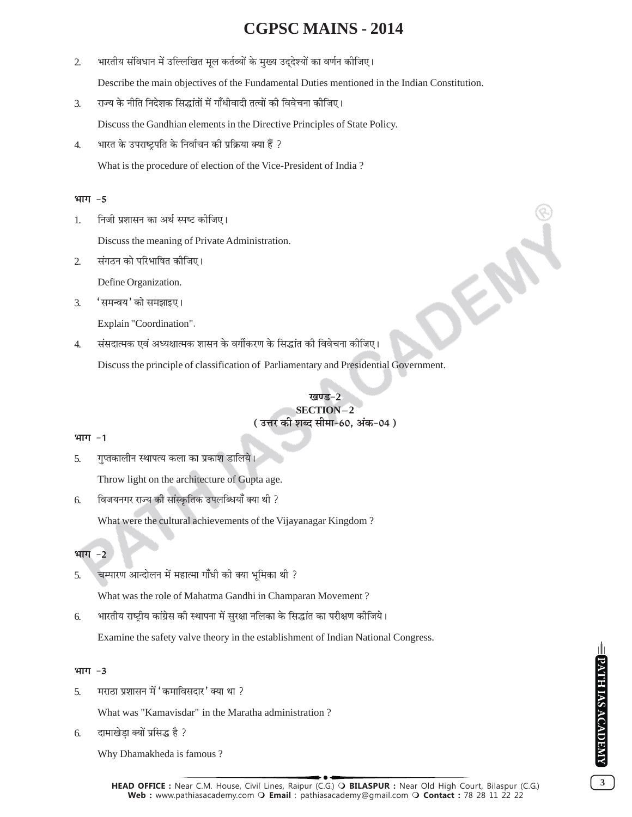$\overline{2}$ भारतीय संविधान में उल्लिखित मूल कर्तव्यों के मुख्य उद्देश्यों का वर्णन कीजिए।

Describe the main objectives of the Fundamental Duties mentioned in the Indian Constitution.

राज्य के नीति निदेशक सिद्धांतों में गाँधीवादी तत्वों की विवेचना कीजिए।  $\overline{3}$ .

Discuss the Gandhian elements in the Directive Principles of State Policy.

भारत के उपराष्ट्रपति के निर्वाचन की प्रक्रिया क्या हैं ?  $\overline{4}$ .

What is the procedure of election of the Vice-President of India?

### भाग -5

निजी प्रशासन का अर्थ स्पष्ट कीजिए। 1.

Discuss the meaning of Private Administration.

संगठन को परिभाषित कीजिए।  $\overline{2}$ 

Define Organization.

'समन्वय' को समझाइए।  $\overline{3}$ .

Explain "Coordination".

संसदात्मक एवं अध्यक्षात्मक शासन के वर्गीकरण के सिद्धांत की विवेचना कीजिए।  $\overline{4}$ 

Discuss the principle of classification of Parliamentary and Presidential Government.

# SECTION-2 (उत्तर की शब्द सीमा-60, अंक-04)

### भाग -1

 $\overline{5}$ . गुप्तकालीन स्थापत्य कला का प्रकाश डालिये।

Throw light on the architecture of Gupta age.

विजयनगर राज्य की सांस्कृतिक उपलब्धियाँ क्या थी ? 6.

What were the cultural achievements of the Vijayanagar Kingdom?

#### भाग  $-2$

चम्पारण आन्दोलन में महात्मा गाँधी की क्या भमिका थी ? 5.

What was the role of Mahatma Gandhi in Champaran Movement?

भारतीय राष्ट्रीय कांग्रेस की स्थापना में सुरक्षा नलिका के सिद्धांत का परीक्षण कीजिये। 6.

Examine the safety valve theory in the establishment of Indian National Congress.

### भाग $-3$

मराठा प्रशासन में 'कमाविसदार' क्या था ?  $\overline{5}$ .

What was "Kamavisdar" in the Maratha administration?

दामाखेड़ा क्यों प्रसिद्ध है ? 6.

Why Dhamakheda is famous?

 $3<sup>7</sup>$ 

FRE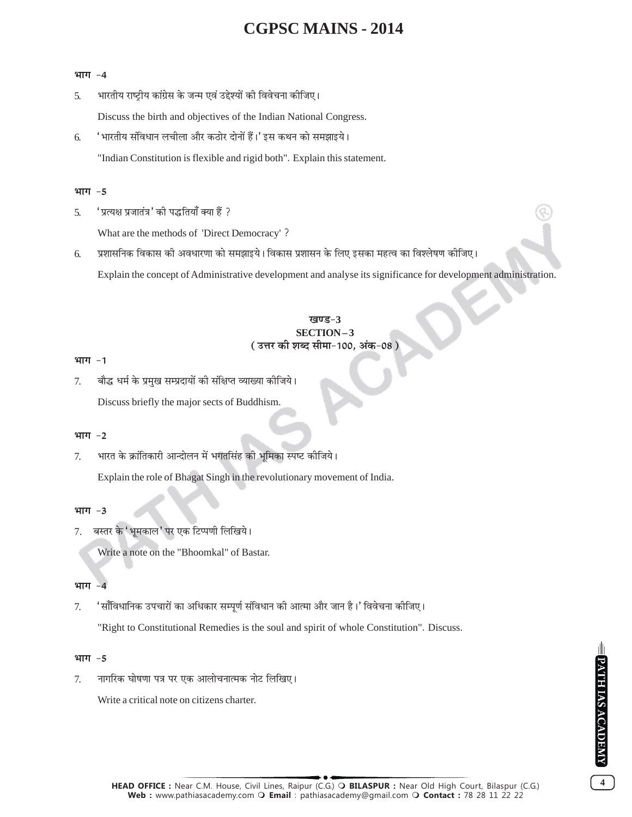#### भाग -4

भारतीय राष्ट्रीय कांग्रेस के जन्म एवं उद्देश्यों की विवेचना कीजिए। 5.

Discuss the birth and objectives of the Indian National Congress.

' भारतीय संविधान लचीला और कठोर दोनों हैं।' इस कथन को समझाइये। 6.

"Indian Constitution is flexible and rigid both". Explain this statement.

#### भाग $-5$

'प्रत्यक्ष प्रजातंत्र' की पद्धतियाँ क्या हैं ? 5.

What are the methods of 'Direct Democracy'?

प्रशासनिक विकास की अवधारणा को समझाइये। विकास प्रशासन के लिए इसका महत्व का विश्लेषण कीजिए। 6.

Explain the concept of Administrative development and analyse its significance for development administration.

### ग्वए.ड-२ SECTION-3 ( उत्तर की शब्द सीमा-100, अंक-08 )

#### भाग -1

बौद्ध धर्म के प्रमुख सम्प्रदायों की संक्षिप्त व्याख्या कीजिये। 7. Discuss briefly the major sects of Buddhism.

#### भाग -2

भारत के क्रांतिकारी आन्दोलन में भगतसिंह की भूमिका स्पष्ट कीजिये। 7. Explain the role of Bhagat Singh in the revolutionary movement of India.

#### भाग -3

बस्तर के 'भूमकाल' पर एक टिप्पणी लिखिये। 7.

Write a note on the "Bhoomkal" of Bastar.

#### भाग

'साँविधानिक उपचारों का अधिकार सम्पूर्ण संविधान की आत्मा और जान है।' विवेचना कीजिए।  $7.$ 

"Right to Constitutional Remedies is the soul and spirit of whole Constitution". Discuss.

#### भाग -5

नागरिक घोषणा पत्र पर एक आलोचनात्मक नोट लिखिए। 7.

Write a critical note on citizens charter.

 $\overline{\mathbf{4}}$